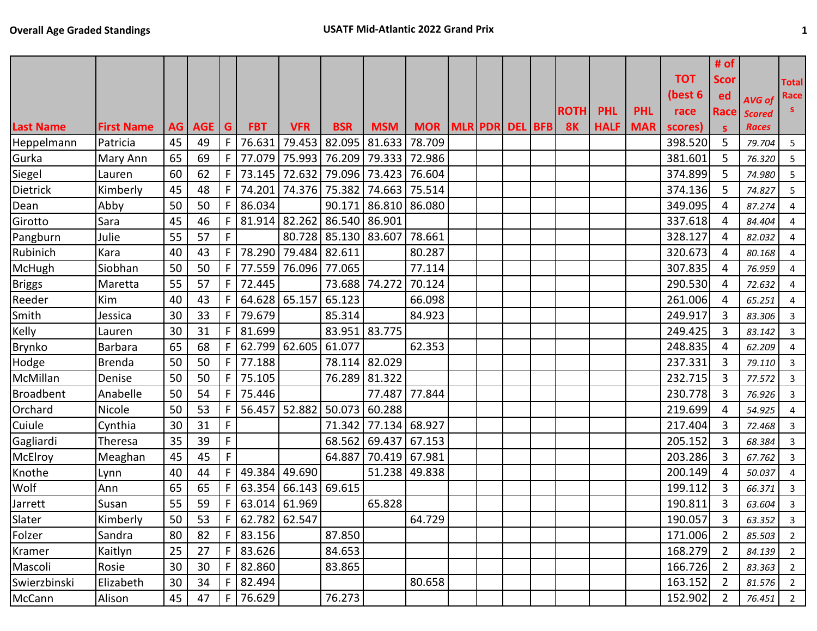|                  |                   |    |          |             |                   |                                    |               |                      |                             |  |  |             |             |            |            | # of           |               |                |
|------------------|-------------------|----|----------|-------------|-------------------|------------------------------------|---------------|----------------------|-----------------------------|--|--|-------------|-------------|------------|------------|----------------|---------------|----------------|
|                  |                   |    |          |             |                   |                                    |               |                      |                             |  |  |             |             |            | <b>TOT</b> | <b>Scor</b>    |               | <b>Total</b>   |
|                  |                   |    |          |             |                   |                                    |               |                      |                             |  |  |             |             |            | (best 6    | ed             | AVG of        | Race           |
|                  |                   |    |          |             |                   |                                    |               |                      |                             |  |  | <b>ROTH</b> | <b>PHL</b>  | <b>PHL</b> | race       | Race           | <b>Scored</b> |                |
| <b>Last Name</b> | <b>First Name</b> |    | AG AGE G |             | <b>FBT</b>        | <b>VFR</b>                         | <b>BSR</b>    | <b>MSM</b>           | MOR   MLR   PDR   DEL   BFB |  |  | <b>8K</b>   | <b>HALF</b> | <b>MAR</b> | scores)    | <b>S</b>       | <b>Races</b>  |                |
| Heppelmann       | Patricia          | 45 | 49       | F           | 76.631            |                                    |               | 79.453 82.095 81.633 | 78.709                      |  |  |             |             |            | 398.520    | 5              | 79.704        | $5\phantom{.}$ |
| Gurka            | <b>Mary Ann</b>   | 65 | 69       | F           |                   | 77.079 75.993 76.209 79.333 72.986 |               |                      |                             |  |  |             |             |            | 381.601    | 5              | 76.320        | 5              |
| Siegel           | Lauren            | 60 | 62       | F.          |                   | 73.145 72.632 79.096 73.423 76.604 |               |                      |                             |  |  |             |             |            | 374.899    | 5              | 74.980        | $5\phantom{.}$ |
| Dietrick         | Kimberly          | 45 | 48       | F           |                   | 74.201 74.376 75.382 74.663 75.514 |               |                      |                             |  |  |             |             |            | 374.136    | 5              | 74.827        | 5 <sup>5</sup> |
| Dean             | Abby              | 50 | 50       | F.          | 86.034            |                                    |               | 90.171 86.810 86.080 |                             |  |  |             |             |            | 349.095    | 4              | 87.274        | $\overline{4}$ |
| Girotto          | Sara              | 45 | 46       | F           |                   | 81.914 82.262                      | 86.540 86.901 |                      |                             |  |  |             |             |            | 337.618    | 4              | 84.404        | $\overline{4}$ |
| Pangburn         | Julie             | 55 | 57       | F.          |                   |                                    |               | 80.728 85.130 83.607 | 78.661                      |  |  |             |             |            | 328.127    | 4              | 82.032        |                |
| Rubinich         | Kara              | 40 | 43       | F           | 78.290            | 79.484                             | 82.611        |                      | 80.287                      |  |  |             |             |            | 320.673    | 4              | 80.168        | $\overline{4}$ |
| McHugh           | Siobhan           | 50 | 50       | F.          | 77.559            | 76.096                             | 77.065        |                      | 77.114                      |  |  |             |             |            | 307.835    | 4              | 76.959        |                |
| <b>Briggs</b>    | Maretta           | 55 | 57       | F           | 72.445            |                                    |               | 73.688 74.272        | 70.124                      |  |  |             |             |            | 290.530    | 4              | 72.632        | $\overline{4}$ |
| Reeder           | Kim               | 40 | 43       | F.          | 64.628 65.157     |                                    | 65.123        |                      | 66.098                      |  |  |             |             |            | 261.006    | 4              | 65.251        | 4              |
| Smith            | Jessica           | 30 | 33       | F.          | 79.679            |                                    | 85.314        |                      | 84.923                      |  |  |             |             |            | 249.917    | 3              | 83.306        | $\overline{3}$ |
| Kelly            | Lauren            | 30 | 31       | F.          | 81.699            |                                    | 83.951 83.775 |                      |                             |  |  |             |             |            | 249.425    | 3              | 83.142        | 3              |
| Brynko           | Barbara           | 65 | 68       | F.          |                   | 62.799 62.605 61.077               |               |                      | 62.353                      |  |  |             |             |            | 248.835    | 4              | 62.209        | 4              |
| Hodge            | <b>Brenda</b>     | 50 | 50       | F           | 77.188            |                                    | 78.114 82.029 |                      |                             |  |  |             |             |            | 237.331    | 3              | 79.110        | $\overline{3}$ |
| McMillan         | Denise            | 50 | 50       | F           | 75.105            |                                    | 76.289 81.322 |                      |                             |  |  |             |             |            | 232.715    | 3              | 77.572        | $\overline{3}$ |
| <b>Broadbent</b> | Anabelle          | 50 | 54       | F           | 75.446            |                                    |               |                      | 77.487 77.844               |  |  |             |             |            | 230.778    | 3              | 76.926        | $\overline{3}$ |
| Orchard          | Nicole            | 50 | 53       | F.          |                   | 56.457 52.882                      | 50.073        | 60.288               |                             |  |  |             |             |            | 219.699    | 4              | 54.925        | $\overline{4}$ |
| Cuiule           | Cynthia           | 30 | 31       | $\mathsf F$ |                   |                                    | 71.342        | 77.134 68.927        |                             |  |  |             |             |            | 217.404    | 3              | 72.468        | $\overline{3}$ |
| Gagliardi        | Theresa           | 35 | 39       | $\mathsf F$ |                   |                                    | 68.562        | 69.437               | 67.153                      |  |  |             |             |            | 205.152    | 3              | 68.384        | 3              |
| McElroy          | Meaghan           | 45 | 45       | F           |                   |                                    | 64.887        | 70.419 67.981        |                             |  |  |             |             |            | 203.286    | 3              | 67.762        | $\overline{3}$ |
| Knothe           | Lynn              | 40 | 44       |             | 49.384 49.690     |                                    |               |                      | 51.238 49.838               |  |  |             |             |            | 200.149    | 4              | 50.037        | 4              |
| Wolf             | Ann               | 65 | 65       | F           |                   | 63.354 66.143 69.615               |               |                      |                             |  |  |             |             |            | 199.112    | $\overline{3}$ | 66.371        | $\overline{3}$ |
| Jarrett          | Susan             | 55 | 59       |             | $F$ 63.014 61.969 |                                    |               | 65.828               |                             |  |  |             |             |            | 190.811    | 3              | 63.604        | $\mathbf{3}$   |
| Slater           | Kimberly          | 50 | 53       |             | $F$ 62.782 62.547 |                                    |               |                      | 64.729                      |  |  |             |             |            | 190.057    | 3              | 63.352        | $\mathbf{3}$   |
| Folzer           | Sandra            | 80 | 82       |             | $F$   83.156      |                                    | 87.850        |                      |                             |  |  |             |             |            | 171.006    | 2              | 85.503        | $\overline{2}$ |
| Kramer           | Kaitlyn           | 25 | 27       |             | $F$   83.626      |                                    | 84.653        |                      |                             |  |  |             |             |            | 168.279    | 2              | 84.139        | $\overline{2}$ |
| Mascoli          | Rosie             | 30 | 30       |             | $F$   82.860      |                                    | 83.865        |                      |                             |  |  |             |             |            | 166.726    | 2              | 83.363        | $\overline{2}$ |
| Swierzbinski     | Elizabeth         | 30 | 34       |             | $F$   82.494      |                                    |               |                      | 80.658                      |  |  |             |             |            | 163.152    | 2              | 81.576        | $\overline{2}$ |
| McCann           | Alison            | 45 | 47       |             | $F$   76.629      |                                    | 76.273        |                      |                             |  |  |             |             |            | 152.902    | $\overline{2}$ | 76.451        | $\overline{2}$ |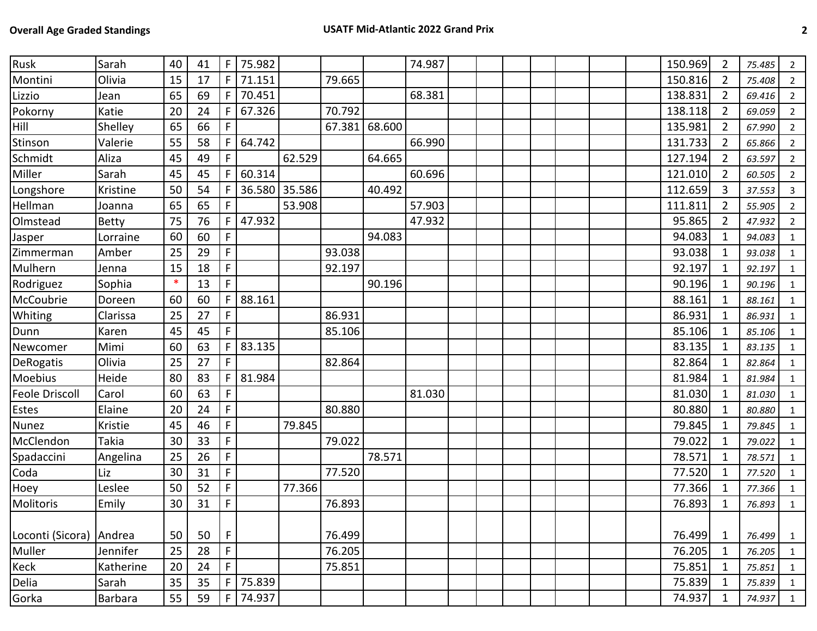| Rusk             | Sarah     | 40     | 41 | $\mathsf F$  | 75.982 |        |        |        | 74.987 |  |  |  | 150.969 | $\overline{2}$ | 75.485 | $\overline{2}$ |
|------------------|-----------|--------|----|--------------|--------|--------|--------|--------|--------|--|--|--|---------|----------------|--------|----------------|
| Montini          | Olivia    | 15     | 17 | F.           | 71.151 |        | 79.665 |        |        |  |  |  | 150.816 | $\overline{2}$ | 75.408 | $\overline{2}$ |
| Lizzio           | Jean      | 65     | 69 | F.           | 70.451 |        |        |        | 68.381 |  |  |  | 138.831 | $\overline{2}$ | 69.416 | $\overline{2}$ |
| Pokorny          | Katie     | 20     | 24 | F.           | 67.326 |        | 70.792 |        |        |  |  |  | 138.118 | 2              | 69.059 | $\overline{2}$ |
| Hill             | Shelley   | 65     | 66 | F            |        |        | 67.381 | 68.600 |        |  |  |  | 135.981 | $\overline{2}$ | 67.990 | $\overline{2}$ |
| Stinson          | Valerie   | 55     | 58 | F.           | 64.742 |        |        |        | 66.990 |  |  |  | 131.733 | $\overline{2}$ | 65.866 | $\overline{2}$ |
| Schmidt          | Aliza     | 45     | 49 | F.           |        | 62.529 |        | 64.665 |        |  |  |  | 127.194 | $\overline{2}$ | 63.597 | $\overline{2}$ |
| Miller           | Sarah     | 45     | 45 | F.           | 60.314 |        |        |        | 60.696 |  |  |  | 121.010 | 2              | 60.505 | $\overline{2}$ |
| Longshore        | Kristine  | 50     | 54 | F.           | 36.580 | 35.586 |        | 40.492 |        |  |  |  | 112.659 | $\overline{3}$ | 37.553 | $\overline{3}$ |
| Hellman          | Joanna    | 65     | 65 | F            |        | 53.908 |        |        | 57.903 |  |  |  | 111.811 | 2              | 55.905 | $\overline{2}$ |
| Olmstead         | Betty     | 75     | 76 | F            | 47.932 |        |        |        | 47.932 |  |  |  | 95.865  | $\overline{2}$ | 47.932 | $\overline{2}$ |
| Jasper           | Lorraine  | 60     | 60 | F            |        |        |        | 94.083 |        |  |  |  | 94.083  | 1              | 94.083 | 1              |
| Zimmerman        | Amber     | 25     | 29 | $\mathsf F$  |        |        | 93.038 |        |        |  |  |  | 93.038  | $\mathbf 1$    | 93.038 | $\mathbf{1}$   |
| Mulhern          | Jenna     | 15     | 18 | $\mathsf F$  |        |        | 92.197 |        |        |  |  |  | 92.197  | 1              | 92.197 | $\mathbf{1}$   |
| Rodriguez        | Sophia    | $\ast$ | 13 | $\mathsf F$  |        |        |        | 90.196 |        |  |  |  | 90.196  | 1              | 90.196 | $\mathbf{1}$   |
| McCoubrie        | Doreen    | 60     | 60 | F.           | 88.161 |        |        |        |        |  |  |  | 88.161  | 1              | 88.161 | $\mathbf{1}$   |
| Whiting          | Clarissa  | 25     | 27 | $\mathsf F$  |        |        | 86.931 |        |        |  |  |  | 86.931  | 1              | 86.931 | $\mathbf{1}$   |
| Dunn             | Karen     | 45     | 45 | F            |        |        | 85.106 |        |        |  |  |  | 85.106  | 1              | 85.106 | $\mathbf{1}$   |
| Newcomer         | Mimi      | 60     | 63 | F            | 83.135 |        |        |        |        |  |  |  | 83.135  | 1              | 83.135 | $\mathbf{1}$   |
| DeRogatis        | Olivia    | 25     | 27 | F            |        |        | 82.864 |        |        |  |  |  | 82.864  | $\mathbf{1}$   | 82.864 | $\mathbf{1}$   |
| <b>Moebius</b>   | Heide     | 80     | 83 | F.           | 81.984 |        |        |        |        |  |  |  | 81.984  | 1              | 81.984 | 1              |
| Feole Driscoll   | Carol     | 60     | 63 | F            |        |        |        |        | 81.030 |  |  |  | 81.030  | $\mathbf{1}$   | 81.030 | $\mathbf{1}$   |
| Estes            | Elaine    | 20     | 24 | F            |        |        | 80.880 |        |        |  |  |  | 80.880  | 1              | 80.880 | $\mathbf{1}$   |
| <b>Nunez</b>     | Kristie   | 45     | 46 | $\mathsf F$  |        | 79.845 |        |        |        |  |  |  | 79.845  | $\mathbf{1}$   | 79.845 | $\mathbf{1}$   |
| McClendon        | Takia     | 30     | 33 | F            |        |        | 79.022 |        |        |  |  |  | 79.022  | 1              | 79.022 | $\mathbf{1}$   |
| Spadaccini       | Angelina  | 25     | 26 | $\mathsf F$  |        |        |        | 78.571 |        |  |  |  | 78.571  | 1              | 78.571 | $\mathbf{1}$   |
| Coda             | Liz       | 30     | 31 | $\mathsf F$  |        |        | 77.520 |        |        |  |  |  | 77.520  | 1              | 77.520 | $\mathbf{1}$   |
| Hoey             | Leslee    | 50     | 52 | $\mathsf F$  |        | 77.366 |        |        |        |  |  |  | 77.366  | 1              | 77.366 | $\mathbf{1}$   |
| Molitoris        | Emily     | 30     | 31 | $\mathsf F$  |        |        | 76.893 |        |        |  |  |  | 76.893  | 1              | 76.893 | $\mathbf{1}$   |
|                  |           |        |    |              |        |        |        |        |        |  |  |  |         |                |        |                |
| Loconti (Sicora) | Andrea    | 50     | 50 | F            |        |        | 76.499 |        |        |  |  |  | 76.499  | $\mathbf{1}$   | 76.499 | $\overline{1}$ |
| Muller           | Jennifer  | 25     | 28 | $\mathsf F$  |        |        | 76.205 |        |        |  |  |  | 76.205  | $\mathbf 1$    | 76.205 | 1              |
| Keck             | Katherine | 20     | 24 | F.           |        |        | 75.851 |        |        |  |  |  | 75.851  | 1              | 75.851 | $\mathbf{1}$   |
| Delia            | Sarah     | 35     | 35 | F            | 75.839 |        |        |        |        |  |  |  | 75.839  | 1              | 75.839 | 1              |
| Gorka            | Barbara   | 55     | 59 | $\mathsf{F}$ | 74.937 |        |        |        |        |  |  |  | 74.937  | $\mathbf{1}$   | 74.937 | $\overline{1}$ |
|                  |           |        |    |              |        |        |        |        |        |  |  |  |         |                |        |                |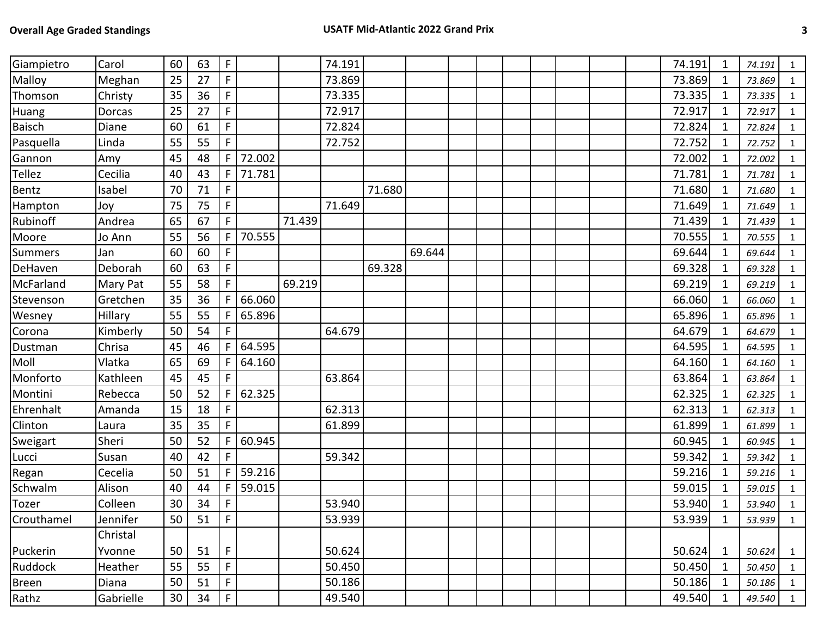| Giampietro    | Carol     | 60 | 63 | $\mathsf F$    |        |        | 74.191 |        |        |  |  |  | 74.191 | 1            | 74.191     | 1              |
|---------------|-----------|----|----|----------------|--------|--------|--------|--------|--------|--|--|--|--------|--------------|------------|----------------|
| Malloy        | Meghan    | 25 | 27 | $\mathsf F$    |        |        | 73.869 |        |        |  |  |  | 73.869 | 1            | 73.869     | $\mathbf{1}$   |
| Thomson       | Christy   | 35 | 36 | $\mathsf F$    |        |        | 73.335 |        |        |  |  |  | 73.335 | 1            | 73.335     | 1              |
| Huang         | Dorcas    | 25 | 27 | $\mathsf F$    |        |        | 72.917 |        |        |  |  |  | 72.917 | 1            | 72.917     | $\mathbf{1}$   |
| <b>Baisch</b> | Diane     | 60 | 61 | $\mathsf F$    |        |        | 72.824 |        |        |  |  |  | 72.824 | 1            | 72.824     | $\mathbf{1}$   |
| Pasquella     | Linda     | 55 | 55 | $\mathsf F$    |        |        | 72.752 |        |        |  |  |  | 72.752 | 1            | 72.752     | $\mathbf{1}$   |
| Gannon        | Amy       | 45 | 48 | F              | 72.002 |        |        |        |        |  |  |  | 72.002 | 1            | 72.002     | $\mathbf{1}$   |
| <b>Tellez</b> | Cecilia   | 40 | 43 | $\mathsf{F}$   | 71.781 |        |        |        |        |  |  |  | 71.781 | 1            | 71.781     | $\mathbf{1}$   |
| Bentz         | Isabel    | 70 | 71 | $\mathsf F$    |        |        |        | 71.680 |        |  |  |  | 71.680 | 1            | 71.680     | $\mathbf{1}$   |
| Hampton       | Joy       | 75 | 75 | $\mathsf F$    |        |        | 71.649 |        |        |  |  |  | 71.649 | 1            | 71.649     | $\mathbf{1}$   |
| Rubinoff      | Andrea    | 65 | 67 | $\mathsf F$    |        | 71.439 |        |        |        |  |  |  | 71.439 | 1            | 71.439     | $\mathbf{1}$   |
| Moore         | Jo Ann    | 55 | 56 | $\mathsf{F}$   | 70.555 |        |        |        |        |  |  |  | 70.555 | 1            | 70.555     | $\mathbf{1}$   |
| Summers       | Jan       | 60 | 60 | $\mathsf F$    |        |        |        |        | 69.644 |  |  |  | 69.644 | 1            | 69.644     | $\mathbf{1}$   |
| DeHaven       | Deborah   | 60 | 63 | F              |        |        |        | 69.328 |        |  |  |  | 69.328 | 1            | 69.328     | 1              |
| McFarland     | Mary Pat  | 55 | 58 | $\mathsf F$    |        | 69.219 |        |        |        |  |  |  | 69.219 | 1            | 69.219     | $\mathbf{1}$   |
| Stevenson     | Gretchen  | 35 | 36 | F              | 66.060 |        |        |        |        |  |  |  | 66.060 | 1            | 66.060     | 1              |
| Wesney        | Hillary   | 55 | 55 | F              | 65.896 |        |        |        |        |  |  |  | 65.896 | 1            | 65.896     | $\mathbf{1}$   |
| Corona        | Kimberly  | 50 | 54 | F              |        |        | 64.679 |        |        |  |  |  | 64.679 | 1            | 64.679     | 1              |
| Dustman       | Chrisa    | 45 | 46 | $\mathsf{F}$   | 64.595 |        |        |        |        |  |  |  | 64.595 | 1            | 64.595     | $\mathbf{1}$   |
| Moll          | Vlatka    | 65 | 69 | F.             | 64.160 |        |        |        |        |  |  |  | 64.160 | 1            | 64.160     | $\mathbf{1}$   |
| Monforto      | Kathleen  | 45 | 45 | $\mathsf F$    |        |        | 63.864 |        |        |  |  |  | 63.864 |              | 63.864     | $\mathbf{1}$   |
| Montini       | Rebecca   | 50 | 52 | F              | 62.325 |        |        |        |        |  |  |  | 62.325 | 1            | 62.325     | $\mathbf{1}$   |
| Ehrenhalt     | Amanda    | 15 | 18 | $\mathsf F$    |        |        | 62.313 |        |        |  |  |  | 62.313 | 1            | 62.313     | 1              |
| Clinton       | Laura     | 35 | 35 | $\mathsf F$    |        |        | 61.899 |        |        |  |  |  | 61.899 | 1            | 61.899     | $\mathbf{1}$   |
| Sweigart      | Sheri     | 50 | 52 | F              | 60.945 |        |        |        |        |  |  |  | 60.945 | 1            | 60.945     | 1              |
| Lucci         | Susan     | 40 | 42 | F              |        |        | 59.342 |        |        |  |  |  | 59.342 | 1            | 59.342     | $\mathbf{1}$   |
| Regan         | Cecelia   | 50 | 51 | F.             | 59.216 |        |        |        |        |  |  |  | 59.216 | 1            | 59.216     | $\mathbf{1}$   |
| Schwalm       | Alison    | 40 | 44 | $\mathsf{F}$   | 59.015 |        |        |        |        |  |  |  | 59.015 | 1            | 59.015     | $\mathbf{1}$   |
| Tozer         | Colleen   | 30 | 34 | F              |        |        | 53.940 |        |        |  |  |  | 53.940 | 1            | 53.940     | $\mathbf{1}$   |
| Crouthamel    | Jennifer  | 50 | 51 | $\overline{F}$ |        |        | 53.939 |        |        |  |  |  | 53.939 | $\mathbf 1$  | 53.939     | $\mathbf{1}$   |
|               | Christal  |    |    |                |        |        |        |        |        |  |  |  |        |              |            |                |
| Puckerin      | Yvonne    | 50 | 51 | F.             |        |        | 50.624 |        |        |  |  |  | 50.624 | $\mathbf{1}$ | $50.624$ 1 |                |
| Ruddock       | Heather   | 55 | 55 | $\mathsf F$    |        |        | 50.450 |        |        |  |  |  | 50.450 | 1            | 50.450     | $\mathbf{1}$   |
| <b>Breen</b>  | Diana     | 50 | 51 | $\mathsf F$    |        |        | 50.186 |        |        |  |  |  | 50.186 | 1            | 50.186     | $\overline{1}$ |
| Rathz         | Gabrielle | 30 | 34 | $\mathsf F$    |        |        | 49.540 |        |        |  |  |  | 49.540 | 1            | 49.540     | $\overline{1}$ |
|               |           |    |    |                |        |        |        |        |        |  |  |  |        |              |            |                |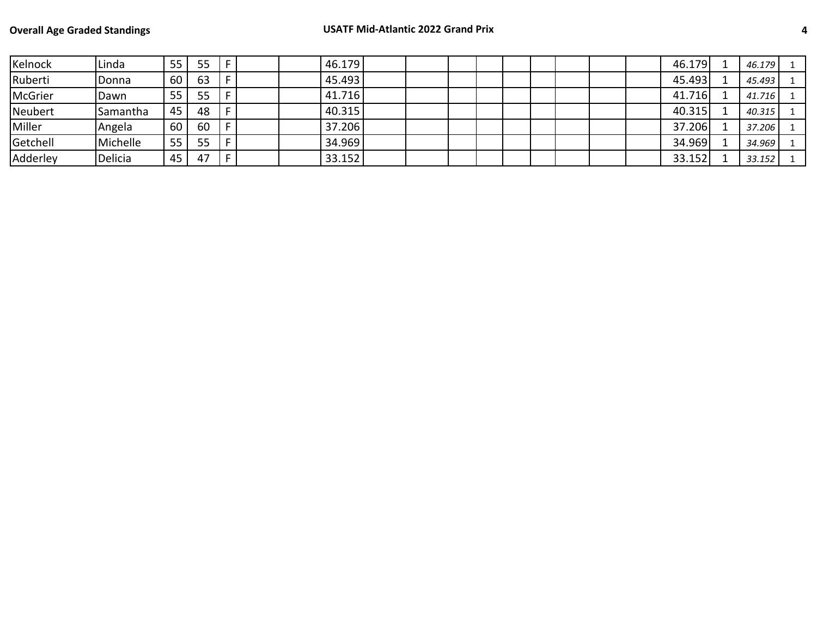| Kelnock        | Linda           | 55 | 55 |  | 46.179 |  |  |  |  | 46.179 | 46.179 |  |
|----------------|-----------------|----|----|--|--------|--|--|--|--|--------|--------|--|
| Ruberti        | Donna           | 60 | 63 |  | 45.493 |  |  |  |  | 45.493 | 45.493 |  |
| <b>McGrier</b> | Dawn            | 55 | 55 |  | 41.716 |  |  |  |  | 41.716 | 41.716 |  |
| Neubert        | <b>Samantha</b> | 45 | 48 |  | 40.315 |  |  |  |  | 40.315 | 40.315 |  |
| Miller         | Angela          | 60 | 60 |  | 37.206 |  |  |  |  | 37.206 | 37.206 |  |
| Getchell       | Michelle        | 55 | 55 |  | 34.969 |  |  |  |  | 34.969 | 34.969 |  |
| Adderley       | Delicia         | 45 | 47 |  | 33.152 |  |  |  |  | 33.152 | 33.152 |  |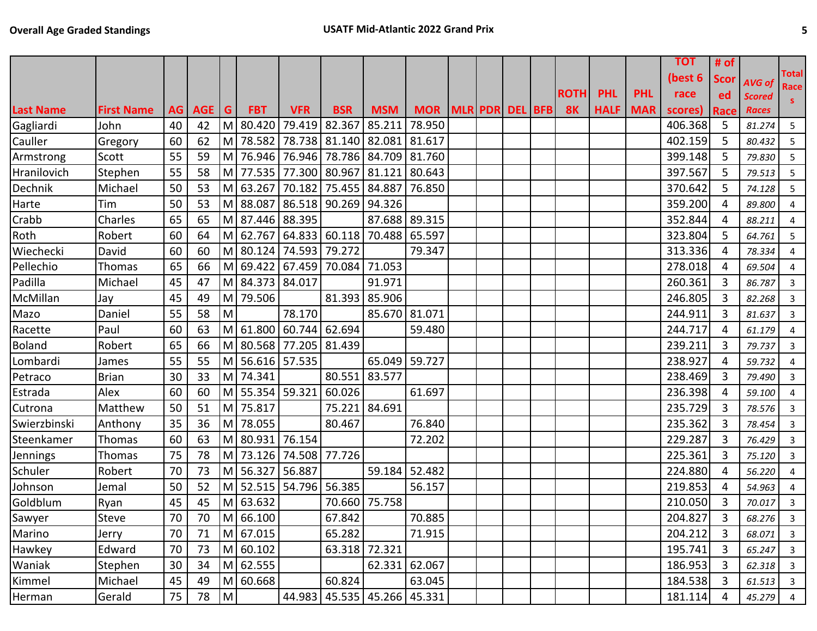|                   |         |    |   |            |                                                                                                                                                  |                                                                                                                                                                              |                                                                                                |                                                                                                                                                              |                                                                                                                                                                                                                                        |                                                 |  |             |                     |            | <b>TOT</b> | # of           |              |                                                       |
|-------------------|---------|----|---|------------|--------------------------------------------------------------------------------------------------------------------------------------------------|------------------------------------------------------------------------------------------------------------------------------------------------------------------------------|------------------------------------------------------------------------------------------------|--------------------------------------------------------------------------------------------------------------------------------------------------------------|----------------------------------------------------------------------------------------------------------------------------------------------------------------------------------------------------------------------------------------|-------------------------------------------------|--|-------------|---------------------|------------|------------|----------------|--------------|-------------------------------------------------------|
|                   |         |    |   |            |                                                                                                                                                  |                                                                                                                                                                              |                                                                                                |                                                                                                                                                              |                                                                                                                                                                                                                                        |                                                 |  |             |                     |            | (best 6    | <b>Scor</b>    |              | <b>Total</b>                                          |
|                   |         |    |   |            |                                                                                                                                                  |                                                                                                                                                                              |                                                                                                |                                                                                                                                                              |                                                                                                                                                                                                                                        |                                                 |  | <b>ROTH</b> | <b>PHL</b>          | <b>PHL</b> | race       | ed             |              | Race<br>S.                                            |
| <b>First Name</b> |         |    |   | <b>FBT</b> | <b>VFR</b>                                                                                                                                       | <b>BSR</b>                                                                                                                                                                   | <b>MSM</b>                                                                                     |                                                                                                                                                              |                                                                                                                                                                                                                                        |                                                 |  | <b>8K</b>   | <b>HALF</b>         | <b>MAR</b> | scores)    | Race           | <b>Races</b> |                                                       |
| John              | 40      | 42 |   |            | 79.419                                                                                                                                           |                                                                                                                                                                              | 85.211                                                                                         | 78.950                                                                                                                                                       |                                                                                                                                                                                                                                        |                                                 |  |             |                     |            | 406.368    | 5              | 81.274       | 5                                                     |
|                   | 60      | 62 |   |            |                                                                                                                                                  |                                                                                                                                                                              |                                                                                                | 81.617                                                                                                                                                       |                                                                                                                                                                                                                                        |                                                 |  |             |                     |            | 402.159    | 5              | 80.432       | 5                                                     |
| Scott             | 55      | 59 | M |            |                                                                                                                                                  |                                                                                                                                                                              |                                                                                                |                                                                                                                                                              |                                                                                                                                                                                                                                        |                                                 |  |             |                     |            | 399.148    | 5              | 79.830       | 5                                                     |
| Stephen           | 55      | 58 |   |            |                                                                                                                                                  |                                                                                                                                                                              |                                                                                                | 80.643                                                                                                                                                       |                                                                                                                                                                                                                                        |                                                 |  |             |                     |            | 397.567    | 5              | 79.513       | 5                                                     |
| Michael           | 50      | 53 |   |            |                                                                                                                                                  |                                                                                                                                                                              |                                                                                                |                                                                                                                                                              |                                                                                                                                                                                                                                        |                                                 |  |             |                     |            | 370.642    | 5              | 74.128       | 5                                                     |
| Tim               | 50      | 53 |   |            |                                                                                                                                                  |                                                                                                                                                                              |                                                                                                |                                                                                                                                                              |                                                                                                                                                                                                                                        |                                                 |  |             |                     |            | 359.200    | 4              | 89.800       | 4                                                     |
| Charles           | 65      | 65 |   |            |                                                                                                                                                  |                                                                                                                                                                              |                                                                                                |                                                                                                                                                              |                                                                                                                                                                                                                                        |                                                 |  |             |                     |            | 352.844    | 4              | 88.211       | $\overline{4}$                                        |
| Robert            | 60      | 64 |   |            |                                                                                                                                                  |                                                                                                                                                                              |                                                                                                |                                                                                                                                                              |                                                                                                                                                                                                                                        |                                                 |  |             |                     |            | 323.804    | 5              | 64.761       | 5                                                     |
| David             | 60      | 60 |   |            |                                                                                                                                                  |                                                                                                                                                                              |                                                                                                | 79.347                                                                                                                                                       |                                                                                                                                                                                                                                        |                                                 |  |             |                     |            | 313.336    | 4              | 78.334       | $\overline{4}$                                        |
| Thomas            | 65      | 66 |   |            |                                                                                                                                                  |                                                                                                                                                                              |                                                                                                |                                                                                                                                                              |                                                                                                                                                                                                                                        |                                                 |  |             |                     |            | 278.018    | 4              | 69.504       | $\overline{4}$                                        |
| Michael           | 45      | 47 |   |            |                                                                                                                                                  |                                                                                                                                                                              | 91.971                                                                                         |                                                                                                                                                              |                                                                                                                                                                                                                                        |                                                 |  |             |                     |            | 260.361    | 3              | 86.787       | $\overline{3}$                                        |
| Jay               | 45      | 49 |   | 79.506     |                                                                                                                                                  |                                                                                                                                                                              | 85.906                                                                                         |                                                                                                                                                              |                                                                                                                                                                                                                                        |                                                 |  |             |                     |            | 246.805    | 3              | 82.268       | $\overline{3}$                                        |
| Daniel            | 55      | 58 | M |            | 78.170                                                                                                                                           |                                                                                                                                                                              |                                                                                                |                                                                                                                                                              |                                                                                                                                                                                                                                        |                                                 |  |             |                     |            | 244.911    | 3              | 81.637       | $\mathbf{3}$                                          |
| Paul              | 60      | 63 |   | 61.800     | 60.744                                                                                                                                           | 62.694                                                                                                                                                                       |                                                                                                | 59.480                                                                                                                                                       |                                                                                                                                                                                                                                        |                                                 |  |             |                     |            | 244.717    | 4              | 61.179       | 4                                                     |
| Robert            | 65      | 66 |   |            |                                                                                                                                                  |                                                                                                                                                                              |                                                                                                |                                                                                                                                                              |                                                                                                                                                                                                                                        |                                                 |  |             |                     |            | 239.211    | 3              | 79.737       | $\mathbf{3}$                                          |
| James             | 55      | 55 |   |            |                                                                                                                                                  |                                                                                                                                                                              |                                                                                                |                                                                                                                                                              |                                                                                                                                                                                                                                        |                                                 |  |             |                     |            | 238.927    | 4              | 59.732       | 4                                                     |
| <b>Brian</b>      | 30      | 33 |   |            |                                                                                                                                                  |                                                                                                                                                                              | 83.577                                                                                         |                                                                                                                                                              |                                                                                                                                                                                                                                        |                                                 |  |             |                     |            | 238.469    | 3              | 79.490       | $\mathbf{3}$                                          |
| Alex              | 60      | 60 |   |            |                                                                                                                                                  | 60.026                                                                                                                                                                       |                                                                                                | 61.697                                                                                                                                                       |                                                                                                                                                                                                                                        |                                                 |  |             |                     |            | 236.398    | 4              | 59.100       | 4                                                     |
| Matthew           | 50      | 51 |   |            |                                                                                                                                                  |                                                                                                                                                                              |                                                                                                |                                                                                                                                                              |                                                                                                                                                                                                                                        |                                                 |  |             |                     |            | 235.729    | 3              | 78.576       | 3                                                     |
| Anthony           | 35      | 36 |   | 78.055     |                                                                                                                                                  | 80.467                                                                                                                                                                       |                                                                                                | 76.840                                                                                                                                                       |                                                                                                                                                                                                                                        |                                                 |  |             |                     |            | 235.362    | 3              | 78.454       | 3                                                     |
| Thomas            | 60      | 63 |   |            |                                                                                                                                                  |                                                                                                                                                                              |                                                                                                | 72.202                                                                                                                                                       |                                                                                                                                                                                                                                        |                                                 |  |             |                     |            | 229.287    | 3              | 76.429       | 3                                                     |
| Thomas            | 75      | 78 |   |            |                                                                                                                                                  | 77.726                                                                                                                                                                       |                                                                                                |                                                                                                                                                              |                                                                                                                                                                                                                                        |                                                 |  |             |                     |            | 225.361    | 3              | 75.120       | $\mathbf{3}$                                          |
| Robert            | 70      | 73 |   |            |                                                                                                                                                  |                                                                                                                                                                              |                                                                                                |                                                                                                                                                              |                                                                                                                                                                                                                                        |                                                 |  |             |                     |            | 224.880    | 4              | 56.220       | $\overline{4}$                                        |
| Jemal             | 50      | 52 |   |            |                                                                                                                                                  |                                                                                                                                                                              |                                                                                                | 56.157                                                                                                                                                       |                                                                                                                                                                                                                                        |                                                 |  |             |                     |            | 219.853    | 4              | 54.963       | $\overline{4}$                                        |
| Ryan              | 45      | 45 |   |            |                                                                                                                                                  |                                                                                                                                                                              | 75.758                                                                                         |                                                                                                                                                              |                                                                                                                                                                                                                                        |                                                 |  |             |                     |            | 210.050    | 3              | 70.017       | $\overline{3}$                                        |
| Steve             | 70      | 70 |   |            |                                                                                                                                                  |                                                                                                                                                                              |                                                                                                |                                                                                                                                                              |                                                                                                                                                                                                                                        |                                                 |  |             |                     |            | 204.827    | 3              |              | $\overline{\mathbf{3}}$                               |
| Jerry             | 70      | 71 |   |            |                                                                                                                                                  | 65.282                                                                                                                                                                       |                                                                                                | 71.915                                                                                                                                                       |                                                                                                                                                                                                                                        |                                                 |  |             |                     |            | 204.212    | 3              | 68.071       | $\mathbf{3}$                                          |
| Edward            | 70      | 73 |   |            |                                                                                                                                                  |                                                                                                                                                                              |                                                                                                |                                                                                                                                                              |                                                                                                                                                                                                                                        |                                                 |  |             |                     |            | 195.741    | $\overline{3}$ | 65.247       | $\overline{\mathbf{3}}$                               |
| Stephen           | 30      | 34 |   |            |                                                                                                                                                  |                                                                                                                                                                              |                                                                                                |                                                                                                                                                              |                                                                                                                                                                                                                                        |                                                 |  |             |                     |            | 186.953    | 3              | 62.318       | $\overline{\mathbf{3}}$                               |
| Michael           | 45      | 49 |   |            |                                                                                                                                                  |                                                                                                                                                                              |                                                                                                |                                                                                                                                                              |                                                                                                                                                                                                                                        |                                                 |  |             |                     |            | 184.538    | 3              |              | $\overline{\mathbf{3}}$                               |
| Gerald            | 75      | 78 |   |            |                                                                                                                                                  |                                                                                                                                                                              |                                                                                                |                                                                                                                                                              |                                                                                                                                                                                                                                        |                                                 |  |             |                     |            |            | 4              |              | $\frac{4}{1}$                                         |
|                   | Gregory |    |   | M          | AG   AGE   G<br>M 80.420<br>M<br>M<br>M<br>M.<br>M<br>M<br>M 74.341<br>M 75.817<br>M<br>M 63.632<br>M 67.015<br>M 60.102<br>M 62.555<br>M 60.668 | 78.582<br>76.946<br>77.535<br>63.267<br>M 87.446 88.395<br>M 80.124<br>M 84.373 84.017<br>56.616 57.535<br>M 55.354 59.321<br>M 80.931 76.154<br>M 56.327 56.887<br>M 66.100 | 76.946<br>74.593 79.272<br>M 80.568 77.205 81.439<br>M 73.126 74.508<br>M 52.515 54.796 56.385 | 82.367<br>M 88.087 86.518 90.269 94.326<br>M 69.422 67.459 70.084 71.053<br>81.393<br>80.551<br>75.221 84.691<br>70.660<br>67.842<br>63.318 72.321<br>60.824 | 78.738 81.140 82.081<br>78.786 84.709<br>81.760<br>77.300 80.967 81.121<br>70.182 75.455 84.887<br>76.850<br>87.688 89.315<br>M 62.767 64.833 60.118 70.488 65.597<br>85.670 81.071<br>65.049 59.727<br>59.184 52.482<br>62.331 62.067 | 70.885<br>63.045<br>44.983 45.535 45.266 45.331 |  |             | MOR MLR PDR DEL BFB |            |            |                | 181.114      | AVG of<br><b>Scored</b><br>68.276<br>61.513<br>45.279 |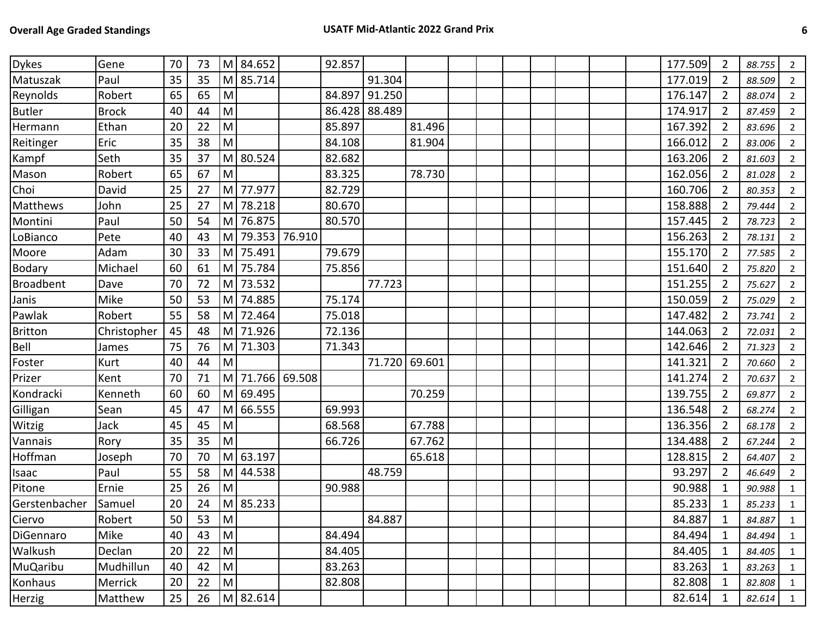| <b>Dykes</b>   | Gene         | 70 | 73              | M                                                                                                          | 84.652   |        | 92.857 |        |        |  |  |  | 177.509 | 2              | 88.755 | $2^{\circ}$    |
|----------------|--------------|----|-----------------|------------------------------------------------------------------------------------------------------------|----------|--------|--------|--------|--------|--|--|--|---------|----------------|--------|----------------|
| Matuszak       | Paul         | 35 | 35              | M                                                                                                          | 85.714   |        |        | 91.304 |        |  |  |  | 177.019 | 2              | 88.509 | $2^{\circ}$    |
| Reynolds       | Robert       | 65 | 65              | M                                                                                                          |          |        | 84.897 | 91.250 |        |  |  |  | 176.147 | 2              | 88.074 | $2^{\circ}$    |
| <b>Butler</b>  | <b>Brock</b> | 40 | 44              | M                                                                                                          |          |        | 86.428 | 88.489 |        |  |  |  | 174.917 | 2              | 87.459 | $2^{\circ}$    |
| Hermann        | Ethan        | 20 | 22              | M                                                                                                          |          |        | 85.897 |        | 81.496 |  |  |  | 167.392 | $\overline{2}$ | 83.696 | $2^{\circ}$    |
| Reitinger      | Eric         | 35 | 38              | M                                                                                                          |          |        | 84.108 |        | 81.904 |  |  |  | 166.012 | $\overline{2}$ | 83.006 | $2^{\circ}$    |
| Kampf          | Seth         | 35 | 37              | M                                                                                                          | 80.524   |        | 82.682 |        |        |  |  |  | 163.206 | $\overline{2}$ | 81.603 | $2^{\circ}$    |
| Mason          | Robert       | 65 | 67              | M                                                                                                          |          |        | 83.325 |        | 78.730 |  |  |  | 162.056 | $\overline{2}$ | 81.028 | $\overline{2}$ |
| Choi           | David        | 25 | 27              | ${\sf M}$                                                                                                  | 77.977   |        | 82.729 |        |        |  |  |  | 160.706 | $\overline{2}$ | 80.353 | $\overline{2}$ |
| Matthews       | John         | 25 | 27              | M                                                                                                          | 78.218   |        | 80.670 |        |        |  |  |  | 158.888 | $\overline{2}$ | 79.444 | $\overline{2}$ |
| Montini        | Paul         | 50 | 54              | M                                                                                                          | 76.875   |        | 80.570 |        |        |  |  |  | 157.445 | 2              | 78.723 | $2^{\circ}$    |
| LoBianco       | Pete         | 40 | 43              | M                                                                                                          | 79.353   | 76.910 |        |        |        |  |  |  | 156.263 | 2              | 78.131 | $2^{\circ}$    |
| Moore          | Adam         | 30 | 33              | M                                                                                                          | 75.491   |        | 79.679 |        |        |  |  |  | 155.170 | $\overline{2}$ | 77.585 | $2^{\circ}$    |
| Bodary         | Michael      | 60 | 61              | M                                                                                                          | 75.784   |        | 75.856 |        |        |  |  |  | 151.640 | $\overline{2}$ | 75.820 | $2^{\circ}$    |
| Broadbent      | Dave         | 70 | 72              | M                                                                                                          | 73.532   |        |        | 77.723 |        |  |  |  | 151.255 | 2              | 75.627 | $2^{\circ}$    |
| Janis          | Mike         | 50 | 53              | M                                                                                                          | 74.885   |        | 75.174 |        |        |  |  |  | 150.059 | 2              | 75.029 | $2^{\circ}$    |
| Pawlak         | Robert       | 55 | 58              | M                                                                                                          | 72.464   |        | 75.018 |        |        |  |  |  | 147.482 | $\overline{2}$ | 73.741 | $2^{\circ}$    |
| <b>Britton</b> | Christopher  | 45 | 48              | M                                                                                                          | 71.926   |        | 72.136 |        |        |  |  |  | 144.063 | 2              | 72.031 | $2^{\circ}$    |
| Bell           | James        | 75 | 76              | M                                                                                                          | 71.303   |        | 71.343 |        |        |  |  |  | 142.646 | $\overline{2}$ | 71.323 | $2^{\circ}$    |
| Foster         | Kurt         | 40 | 44              | M                                                                                                          |          |        |        | 71.720 | 69.601 |  |  |  | 141.321 | $\overline{2}$ | 70.660 | $2^{\circ}$    |
| Prizer         | Kent         | 70 | 71              | M                                                                                                          | 71.766   | 69.508 |        |        |        |  |  |  | 141.274 | $\overline{2}$ | 70.637 | $\overline{2}$ |
| Kondracki      | Kenneth      | 60 | 60              | M                                                                                                          | 69.495   |        |        |        | 70.259 |  |  |  | 139.755 | $\overline{2}$ | 69.877 | $2^{\circ}$    |
| Gilligan       | Sean         | 45 | 47              | M                                                                                                          | 66.555   |        | 69.993 |        |        |  |  |  | 136.548 | 2              | 68.274 | $2^{\circ}$    |
| Witzig         | Jack         | 45 | 45              | M                                                                                                          |          |        | 68.568 |        | 67.788 |  |  |  | 136.356 | $\overline{2}$ | 68.178 | $2^{\circ}$    |
| Vannais        | Rory         | 35 | 35              | M                                                                                                          |          |        | 66.726 |        | 67.762 |  |  |  | 134.488 | 2              | 67.244 | $2^{\circ}$    |
| Hoffman        | Joseph       | 70 | 70              | M                                                                                                          | 63.197   |        |        |        | 65.618 |  |  |  | 128.815 | 2              | 64.407 | $2^{\circ}$    |
| Isaac          | Paul         | 55 | 58              | M                                                                                                          | 44.538   |        |        | 48.759 |        |  |  |  | 93.297  | 2              | 46.649 | $2^{\circ}$    |
| Pitone         | Ernie        | 25 | 26              | M                                                                                                          |          |        | 90.988 |        |        |  |  |  | 90.988  | 1              | 90.988 | $\mathbf{1}$   |
| Gerstenbacher  | Samuel       | 20 | 24              | M                                                                                                          | 85.233   |        |        |        |        |  |  |  | 85.233  | $\mathbf{1}$   | 85.233 | $\mathbf{1}$   |
| Ciervo         | Robert       | 50 | $\overline{53}$ | $\boxed{M}$                                                                                                |          |        |        | 84.887 |        |  |  |  | 84.887  | $\mathbf{1}$   | 84.887 | $\mathbf{1}$   |
| DiGennaro      | Mike         | 40 | 43              | $\mathsf{M}% _{T}=\mathsf{M}_{T}\!\left( a,b\right) ,\ \mathsf{M}_{T}=\mathsf{M}_{T}\!\left( a,b\right) ,$ |          |        | 84.494 |        |        |  |  |  | 84.494  | 1              | 84.494 | $\mathbf{1}$   |
| Walkush        | Declan       | 20 | 22              | M                                                                                                          |          |        | 84.405 |        |        |  |  |  | 84.405  | 1              | 84.405 | $\mathbf{1}$   |
| MuQaribu       | Mudhillun    | 40 | 42              | $\mathsf{M}% _{T}=\mathsf{M}_{T}\!\left( a,b\right) ,\ \mathsf{M}_{T}=\mathsf{M}_{T}$                      |          |        | 83.263 |        |        |  |  |  | 83.263  | 1              | 83.263 | $\mathbf{1}$   |
| Konhaus        | Merrick      | 20 | 22              | ${\sf M}$                                                                                                  |          |        | 82.808 |        |        |  |  |  | 82.808  | 1              | 82.808 | $\mathbf{1}$   |
| Herzig         | Matthew      | 25 | 26              |                                                                                                            | M 82.614 |        |        |        |        |  |  |  | 82.614  | 1              | 82.614 | $\mathbf{1}$   |
|                |              |    |                 |                                                                                                            |          |        |        |        |        |  |  |  |         |                |        |                |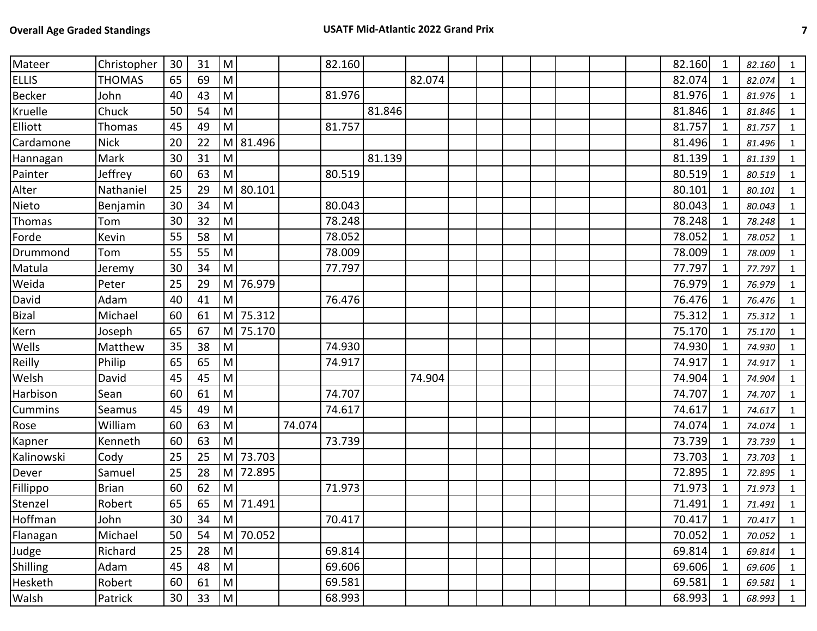| Mateer          | Christopher   | 30              | 31              | M                       |          |        | 82.160 |        |        |  |  |  | 82.160 | 1            | 82.160 | 1              |
|-----------------|---------------|-----------------|-----------------|-------------------------|----------|--------|--------|--------|--------|--|--|--|--------|--------------|--------|----------------|
| <b>ELLIS</b>    | <b>THOMAS</b> | 65              | 69              | M                       |          |        |        |        | 82.074 |  |  |  | 82.074 | 1            | 82.074 | 1              |
| <b>Becker</b>   | John          | 40              | 43              | M                       |          |        | 81.976 |        |        |  |  |  | 81.976 | 1            | 81.976 | $\mathbf{1}$   |
| Kruelle         | Chuck         | 50              | 54              | M                       |          |        |        | 81.846 |        |  |  |  | 81.846 | 1            | 81.846 | $\mathbf{1}$   |
| Elliott         | Thomas        | 45              | 49              | M                       |          |        | 81.757 |        |        |  |  |  | 81.757 | 1            | 81.757 | $\mathbf{1}$   |
| Cardamone       | <b>Nick</b>   | 20              | 22              | M                       | 81.496   |        |        |        |        |  |  |  | 81.496 | 1            | 81.496 | $\mathbf{1}$   |
| Hannagan        | Mark          | 30              | 31              | M                       |          |        |        | 81.139 |        |  |  |  | 81.139 | 1            | 81.139 | $\mathbf{1}$   |
| Painter         | Jeffrey       | 60              | 63              | M                       |          |        | 80.519 |        |        |  |  |  | 80.519 | $\mathbf 1$  | 80.519 | $\mathbf{1}$   |
| Alter           | Nathaniel     | 25              | 29              | M                       | 80.101   |        |        |        |        |  |  |  | 80.101 | 1            | 80.101 | $\mathbf{1}$   |
| Nieto           | Benjamin      | 30              | 34              | M                       |          |        | 80.043 |        |        |  |  |  | 80.043 | 1            | 80.043 | $\mathbf{1}$   |
| Thomas          | Tom           | 30              | 32              | M                       |          |        | 78.248 |        |        |  |  |  | 78.248 | $\mathbf{1}$ | 78.248 | $\mathbf{1}$   |
| Forde           | Kevin         | 55              | 58              | M                       |          |        | 78.052 |        |        |  |  |  | 78.052 | 1            | 78.052 | 1              |
| Drummond        | Tom           | 55              | 55              | M                       |          |        | 78.009 |        |        |  |  |  | 78.009 | 1            | 78.009 | 1              |
| Matula          | Jeremy        | 30              | 34              | M                       |          |        | 77.797 |        |        |  |  |  | 77.797 | 1            | 77.797 | 1              |
| Weida           | Peter         | 25              | 29              | M                       | 76.979   |        |        |        |        |  |  |  | 76.979 | 1            | 76.979 | $\mathbf{1}$   |
| David           | Adam          | 40              | 41              | M                       |          |        | 76.476 |        |        |  |  |  | 76.476 | 1            | 76.476 | $\mathbf{1}$   |
| Bizal           | Michael       | 60              | 61              | M                       | 75.312   |        |        |        |        |  |  |  | 75.312 | 1            | 75.312 | $\mathbf{1}$   |
| Kern            | Joseph        | 65              | 67              | M                       | 75.170   |        |        |        |        |  |  |  | 75.170 | 1            | 75.170 | $\mathbf{1}$   |
| Wells           | Matthew       | 35              | 38              | M                       |          |        | 74.930 |        |        |  |  |  | 74.930 | 1            | 74.930 | $\mathbf{1}$   |
| Reilly          | Philip        | 65              | 65              | M                       |          |        | 74.917 |        |        |  |  |  | 74.917 | $\mathbf 1$  | 74.917 | $\mathbf{1}$   |
| Welsh           | David         | 45              | 45              | M                       |          |        |        |        | 74.904 |  |  |  | 74.904 | $\mathbf 1$  | 74.904 | $\mathbf{1}$   |
| Harbison        | Sean          | 60              | 61              | M                       |          |        | 74.707 |        |        |  |  |  | 74.707 | $\mathbf 1$  | 74.707 | 1              |
| Cummins         | Seamus        | 45              | 49              | M                       |          |        | 74.617 |        |        |  |  |  | 74.617 | 1            | 74.617 | 1              |
| Rose            | William       | 60              | 63              | M                       |          | 74.074 |        |        |        |  |  |  | 74.074 | $\mathbf{1}$ | 74.074 | $\mathbf{1}$   |
| Kapner          | Kenneth       | 60              | 63              | M                       |          |        | 73.739 |        |        |  |  |  | 73.739 | 1            | 73.739 | $\mathbf{1}$   |
| Kalinowski      | Cody          | 25              | 25              | M                       | 73.703   |        |        |        |        |  |  |  | 73.703 | 1            | 73.703 | 1              |
| Dever           | Samuel        | 25              | 28              | M                       | 72.895   |        |        |        |        |  |  |  | 72.895 | 1            | 72.895 | $\mathbf{1}$   |
| Fillippo        | <b>Brian</b>  | 60              | 62              | M                       |          |        | 71.973 |        |        |  |  |  | 71.973 | 1            | 71.973 | $\mathbf{1}$   |
| Stenzel         | Robert        | 65              | 65              | M                       | 71.491   |        |        |        |        |  |  |  | 71.491 | $\mathbf{1}$ | 71.491 | $\mathbf{1}$   |
| Hoffman         | John          | $\overline{30}$ | $\overline{34}$ | $\overline{\mathsf{M}}$ |          |        | 70.417 |        |        |  |  |  | 70.417 | $\mathbf 1$  | 70.417 | $\mathbf{1}$   |
| Flanagan        | Michael       | 50              | 54              |                         | M 70.052 |        |        |        |        |  |  |  | 70.052 | $\mathbf{1}$ | 70.052 | $\mathbf{1}$   |
| Judge           | Richard       | 25              | 28              | M                       |          |        | 69.814 |        |        |  |  |  | 69.814 | $\mathbf{1}$ | 69.814 | $\mathbf{1}$   |
| <b>Shilling</b> | Adam          | 45              | 48              | M                       |          |        | 69.606 |        |        |  |  |  | 69.606 | 1            | 69.606 | $\overline{1}$ |
| Hesketh         | Robert        | 60              | 61              | M                       |          |        | 69.581 |        |        |  |  |  | 69.581 | $\mathbf 1$  | 69.581 | 1              |
| Walsh           | Patrick       | 30              | 33              | M                       |          |        | 68.993 |        |        |  |  |  | 68.993 | $\mathbf{1}$ | 68.993 | $\overline{1}$ |
|                 |               |                 |                 |                         |          |        |        |        |        |  |  |  |        |              |        |                |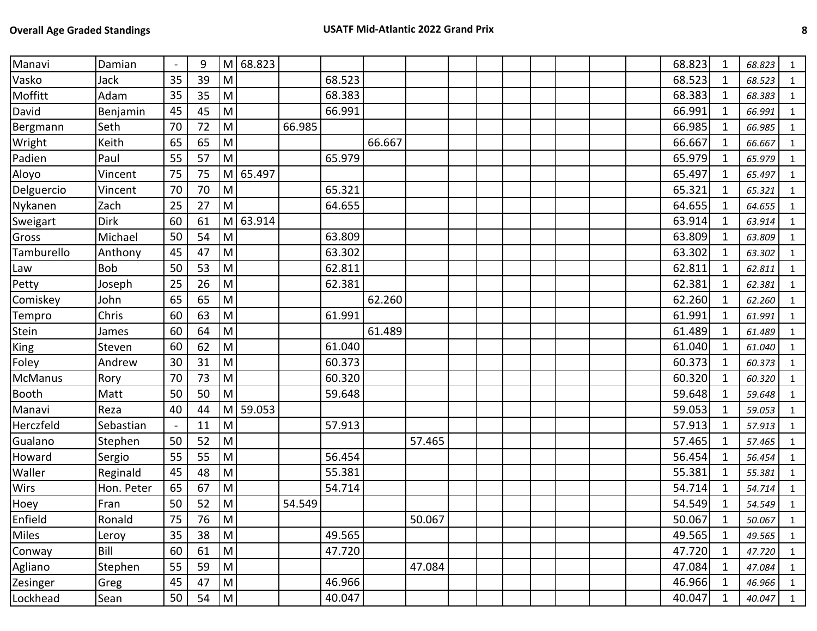| Manavi         | Damian     | $\blacksquare$ | 9  | M         | 68.823 |        |        |        |        |  |  |  | 68.823 | 1            | 68.823 | 1              |
|----------------|------------|----------------|----|-----------|--------|--------|--------|--------|--------|--|--|--|--------|--------------|--------|----------------|
| Vasko          | Jack       | 35             | 39 | M         |        |        | 68.523 |        |        |  |  |  | 68.523 | 1            | 68.523 | $\mathbf{1}$   |
| Moffitt        | Adam       | 35             | 35 | M         |        |        | 68.383 |        |        |  |  |  | 68.383 | 1            | 68.383 | $\mathbf{1}$   |
| David          | Benjamin   | 45             | 45 | M         |        |        | 66.991 |        |        |  |  |  | 66.991 | 1            | 66.991 | $\mathbf{1}$   |
| Bergmann       | Seth       | 70             | 72 | ${\sf M}$ |        | 66.985 |        |        |        |  |  |  | 66.985 | 1            | 66.985 | $\mathbf{1}$   |
| Wright         | Keith      | 65             | 65 | M         |        |        |        | 66.667 |        |  |  |  | 66.667 |              | 66.667 | $\mathbf{1}$   |
| Padien         | Paul       | 55             | 57 | M         |        |        | 65.979 |        |        |  |  |  | 65.979 | 1            | 65.979 | $\mathbf{1}$   |
| Aloyo          | Vincent    | 75             | 75 | M         | 65.497 |        |        |        |        |  |  |  | 65.497 | 1            | 65.497 | $\mathbf{1}$   |
| Delguercio     | Vincent    | 70             | 70 | M         |        |        | 65.321 |        |        |  |  |  | 65.321 | 1            | 65.321 | $\mathbf{1}$   |
| Nykanen        | Zach       | 25             | 27 | M         |        |        | 64.655 |        |        |  |  |  | 64.655 | 1            | 64.655 | $\mathbf{1}$   |
| Sweigart       | Dirk       | 60             | 61 | M         | 63.914 |        |        |        |        |  |  |  | 63.914 | $\mathbf{1}$ | 63.914 | $\mathbf{1}$   |
| Gross          | Michael    | 50             | 54 | M         |        |        | 63.809 |        |        |  |  |  | 63.809 | 1            | 63.809 | 1              |
| Tamburello     | Anthony    | 45             | 47 | M         |        |        | 63.302 |        |        |  |  |  | 63.302 | 1            | 63.302 | $\mathbf{1}$   |
| Law            | <b>Bob</b> | 50             | 53 | M         |        |        | 62.811 |        |        |  |  |  | 62.811 | 1            | 62.811 | $\mathbf{1}$   |
| Petty          | Joseph     | 25             | 26 | M         |        |        | 62.381 |        |        |  |  |  | 62.381 | 1            | 62.381 | $\mathbf{1}$   |
| Comiskey       | John       | 65             | 65 | M         |        |        |        | 62.260 |        |  |  |  | 62.260 | 1            | 62.260 | $\mathbf{1}$   |
| Tempro         | Chris      | 60             | 63 | M         |        |        | 61.991 |        |        |  |  |  | 61.991 |              | 61.991 | $\mathbf{1}$   |
| Stein          | James      | 60             | 64 | M         |        |        |        | 61.489 |        |  |  |  | 61.489 | 1            | 61.489 | $\mathbf{1}$   |
| <b>King</b>    | Steven     | 60             | 62 | M         |        |        | 61.040 |        |        |  |  |  | 61.040 |              | 61.040 | $\mathbf{1}$   |
| Foley          | Andrew     | 30             | 31 | M         |        |        | 60.373 |        |        |  |  |  | 60.373 | 1            | 60.373 | $\mathbf{1}$   |
| <b>McManus</b> | Rory       | 70             | 73 | M         |        |        | 60.320 |        |        |  |  |  | 60.320 | 1            | 60.320 | $\mathbf{1}$   |
| <b>Booth</b>   | Matt       | 50             | 50 | M         |        |        | 59.648 |        |        |  |  |  | 59.648 | 1            | 59.648 | $\overline{1}$ |
| Manavi         | Reza       | 40             | 44 | M         | 59.053 |        |        |        |        |  |  |  | 59.053 | 1            | 59.053 | 1              |
| Herczfeld      | Sebastian  |                | 11 | M         |        |        | 57.913 |        |        |  |  |  | 57.913 | $\mathbf{1}$ | 57.913 | $\mathbf{1}$   |
| Gualano        | Stephen    | 50             | 52 | M         |        |        |        |        | 57.465 |  |  |  | 57.465 | 1            | 57.465 | 1              |
| Howard         | Sergio     | 55             | 55 | M         |        |        | 56.454 |        |        |  |  |  | 56.454 | 1            | 56.454 | $\mathbf{1}$   |
| Waller         | Reginald   | 45             | 48 | ${\sf M}$ |        |        | 55.381 |        |        |  |  |  | 55.381 | 1            | 55.381 | $\mathbf{1}$   |
| Wirs           | Hon. Peter | 65             | 67 | M         |        |        | 54.714 |        |        |  |  |  | 54.714 | 1            | 54.714 | $\mathbf{1}$   |
| Hoey           | Fran       | 50             | 52 | M         |        | 54.549 |        |        |        |  |  |  | 54.549 | 1            | 54.549 | $\mathbf{1}$   |
| Enfield        | Ronald     | 75             | 76 | M         |        |        |        |        | 50.067 |  |  |  | 50.067 | $\mathbf{1}$ | 50.067 | $\mathbf{1}$   |
| Miles          | Leroy      | 35             | 38 | M         |        |        | 49.565 |        |        |  |  |  | 49.565 | 1            | 49.565 | $\mathbf{1}$   |
| Conway         | Bill       | 60             | 61 | M         |        |        | 47.720 |        |        |  |  |  | 47.720 | 1            | 47.720 | $\mathbf{1}$   |
| Agliano        | Stephen    | 55             | 59 | M         |        |        |        |        | 47.084 |  |  |  | 47.084 | 1            | 47.084 | $\mathbf{1}$   |
| Zesinger       | Greg       | 45             | 47 | M         |        |        | 46.966 |        |        |  |  |  | 46.966 | $\mathbf{1}$ | 46.966 | $\mathbf{1}$   |
| Lockhead       | Sean       | 50             | 54 | M         |        |        | 40.047 |        |        |  |  |  | 40.047 | $\mathbf{1}$ | 40.047 | $\overline{1}$ |
|                |            |                |    |           |        |        |        |        |        |  |  |  |        |              |        |                |